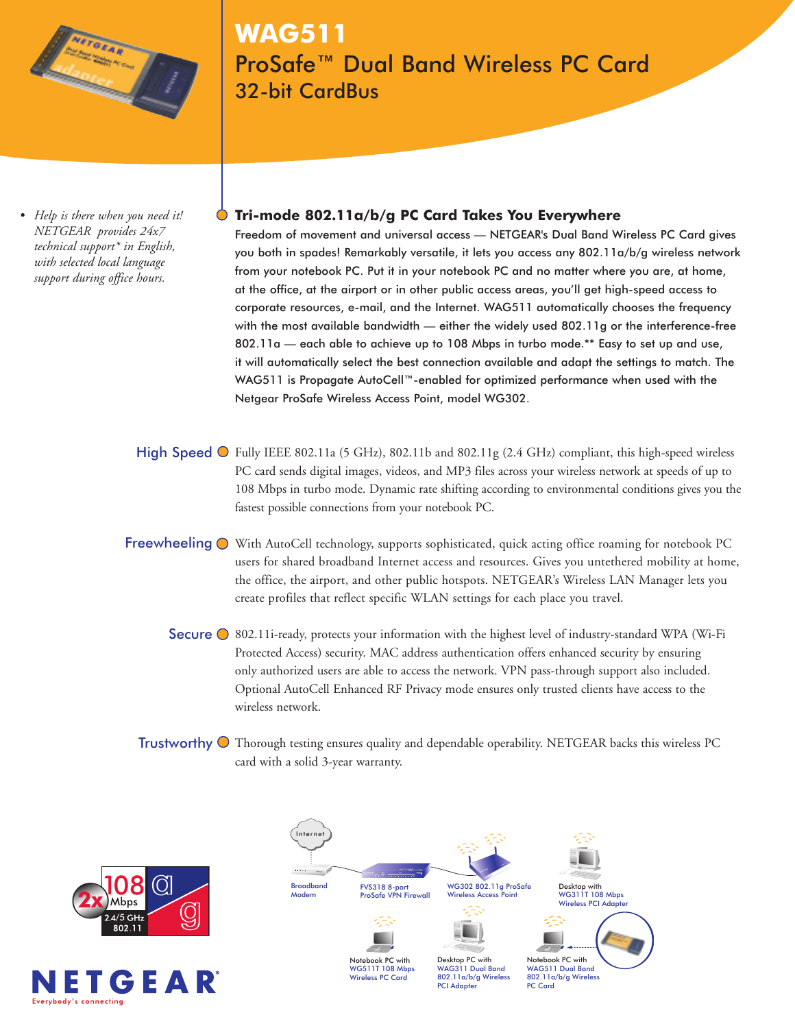

# **WAG511** ProSafe™ Dual Band Wireless PC Card 32-bit CardBus

*• Help is there when you need it! NETGEAR provides 24x7 technical support\* in English, with selected local language support during office hours.*

# **Tri-mode 802.11a/b/g PC Card Takes You Everywhere**

Freedom of movement and universal access — NETGEAR's Dual Band Wireless PC Card gives you both in spades! Remarkably versatile, it lets you access any 802.11a/b/g wireless network from your notebook PC. Put it in your notebook PC and no matter where you are, at home, at the office, at the airport or in other public access areas, you'll get high-speed access to corporate resources, e-mail, and the Internet. WAG511 automatically chooses the frequency with the most available bandwidth — either the widely used 802.11g or the interference-free 802.11a — each able to achieve up to 108 Mbps in turbo mode.\*\* Easy to set up and use, it will automatically select the best connection available and adapt the settings to match. The WAG511 is Propagate AutoCell™-enabled for optimized performance when used with the Netgear ProSafe Wireless Access Point, model WG302.

- High Speed  $\bigcirc$  Fully IEEE 802.11a (5 GHz), 802.11b and 802.11g (2.4 GHz) compliant, this high-speed wireless PC card sends digital images, videos, and MP3 files across your wireless network at speeds of up to 108 Mbps in turbo mode. Dynamic rate shifting according to environmental conditions gives you the fastest possible connections from your notebook PC.
- Freewheeling  $\bullet$  With AutoCell technology, supports sophisticated, quick acting office roaming for notebook PC users for shared broadband Internet access and resources. Gives you untethered mobility at home, the office, the airport, and other public hotspots. NETGEAR's Wireless LAN Manager lets you create profiles that reflect specific WLAN settings for each place you travel.
	- Secure  $\bigcirc$  802.11i-ready, protects your information with the highest level of industry-standard WPA (Wi-Fi Protected Access) security. MAC address authentication offers enhanced security by ensuring only authorized users are able to access the network. VPN pass-through support also included. Optional AutoCell Enhanced RF Privacy mode ensures only trusted clients have access to the wireless network.
	- Trustworthy  $\odot$  Thorough testing ensures quality and dependable operability. NETGEAR backs this wireless PC card with a solid 3-year warranty.